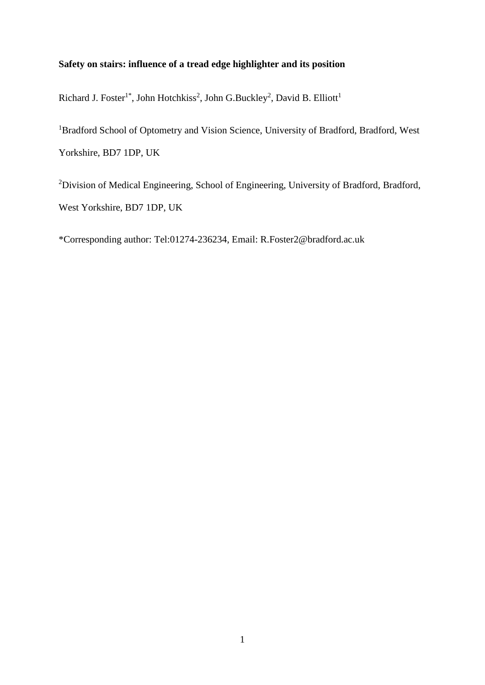# **Safety on stairs: influence of a tread edge highlighter and its position**

Richard J. Foster<sup>1\*</sup>, John Hotchkiss<sup>2</sup>, John G.Buckley<sup>2</sup>, David B. Elliott<sup>1</sup>

<sup>1</sup>Bradford School of Optometry and Vision Science, University of Bradford, Bradford, West Yorkshire, BD7 1DP, UK

<sup>2</sup>Division of Medical Engineering, School of Engineering, University of Bradford, Bradford, West Yorkshire, BD7 1DP, UK

\*Corresponding author: Tel:01274-236234, Email: R.Foster2@bradford.ac.uk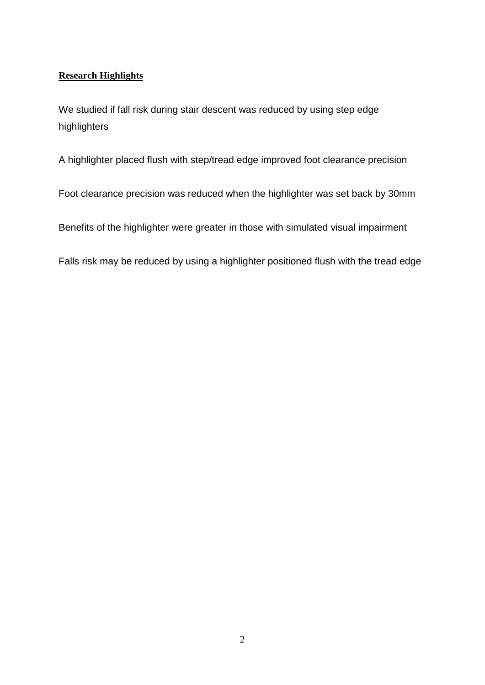# **Research Highlights**

We studied if fall risk during stair descent was reduced by using step edge highlighters

A highlighter placed flush with step/tread edge improved foot clearance precision

Foot clearance precision was reduced when the highlighter was set back by 30mm

Benefits of the highlighter were greater in those with simulated visual impairment

Falls risk may be reduced by using a highlighter positioned flush with the tread edge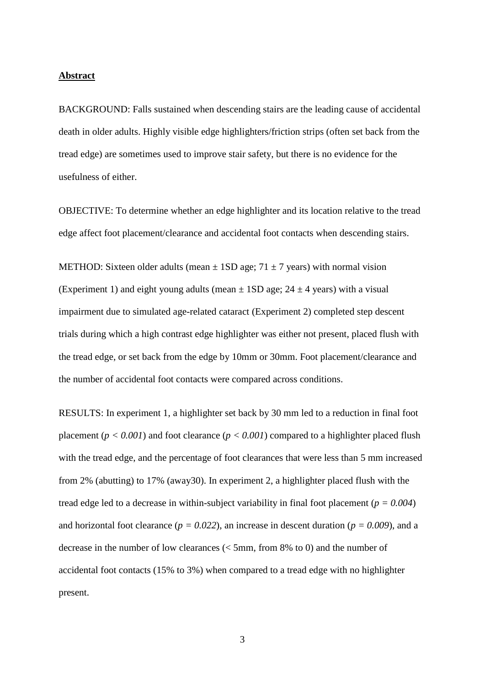# **Abstract**

BACKGROUND: Falls sustained when descending stairs are the leading cause of accidental death in older adults. Highly visible edge highlighters/friction strips (often set back from the tread edge) are sometimes used to improve stair safety, but there is no evidence for the usefulness of either.

OBJECTIVE: To determine whether an edge highlighter and its location relative to the tread edge affect foot placement/clearance and accidental foot contacts when descending stairs.

METHOD: Sixteen older adults (mean  $\pm$  1SD age; 71  $\pm$  7 years) with normal vision (Experiment 1) and eight young adults (mean  $\pm$  1SD age; 24  $\pm$  4 years) with a visual impairment due to simulated age-related cataract (Experiment 2) completed step descent trials during which a high contrast edge highlighter was either not present, placed flush with the tread edge, or set back from the edge by 10mm or 30mm. Foot placement/clearance and the number of accidental foot contacts were compared across conditions.

RESULTS: In experiment 1, a highlighter set back by 30 mm led to a reduction in final foot placement ( $p < 0.001$ ) and foot clearance ( $p < 0.001$ ) compared to a highlighter placed flush with the tread edge, and the percentage of foot clearances that were less than 5 mm increased from 2% (abutting) to 17% (away30). In experiment 2, a highlighter placed flush with the tread edge led to a decrease in within-subject variability in final foot placement (*p = 0.004*) and horizontal foot clearance ( $p = 0.022$ ), an increase in descent duration ( $p = 0.009$ ), and a decrease in the number of low clearances (< 5mm, from 8% to 0) and the number of accidental foot contacts (15% to 3%) when compared to a tread edge with no highlighter present.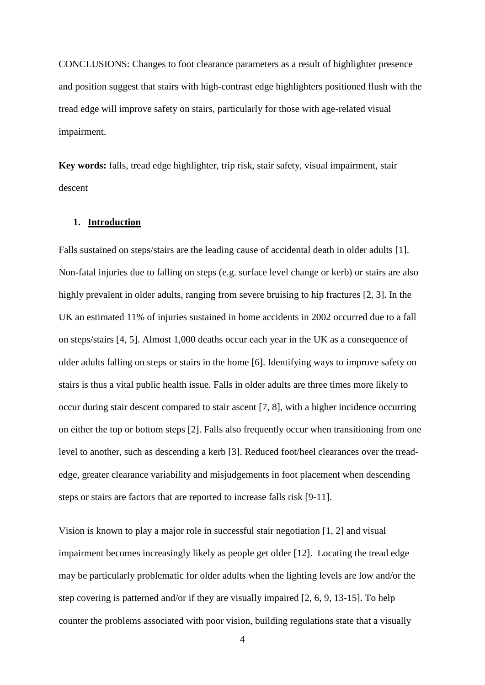CONCLUSIONS: Changes to foot clearance parameters as a result of highlighter presence and position suggest that stairs with high-contrast edge highlighters positioned flush with the tread edge will improve safety on stairs, particularly for those with age-related visual impairment.

**Key words:** falls, tread edge highlighter, trip risk, stair safety, visual impairment, stair descent

## **1. Introduction**

Falls sustained on steps/stairs are the leading cause of accidental death in older adults [\[1\]](#page-18-0). Non-fatal injuries due to falling on steps (e.g. surface level change or kerb) or stairs are also highly prevalent in older adults, ranging from severe bruising to hip fractures [\[2,](#page-18-1) [3\]](#page-18-2). In the UK an estimated 11% of injuries sustained in home accidents in 2002 occurred due to a fall on steps/stairs [\[4,](#page-18-3) [5\]](#page-18-4). Almost 1,000 deaths occur each year in the UK as a consequence of older adults falling on steps or stairs in the home [\[6\]](#page-18-5). Identifying ways to improve safety on stairs is thus a vital public health issue. Falls in older adults are three times more likely to occur during stair descent compared to stair ascent [\[7,](#page-18-6) [8\]](#page-18-7), with a higher incidence occurring on either the top or bottom steps [\[2\]](#page-18-1). Falls also frequently occur when transitioning from one level to another, such as descending a kerb [\[3\]](#page-18-2). Reduced foot/heel clearances over the treadedge, greater clearance variability and misjudgements in foot placement when descending steps or stairs are factors that are reported to increase falls risk [\[9-11\]](#page-18-8).

Vision is known to play a major role in successful stair negotiation [\[1,](#page-18-0) [2\]](#page-18-1) and visual impairment becomes increasingly likely as people get older [\[12\]](#page-18-9). Locating the tread edge may be particularly problematic for older adults when the lighting levels are low and/or the step covering is patterned and/or if they are visually impaired [\[2,](#page-18-1) [6,](#page-18-5) [9,](#page-18-8) [13-15\]](#page-18-10). To help counter the problems associated with poor vision, building regulations state that a visually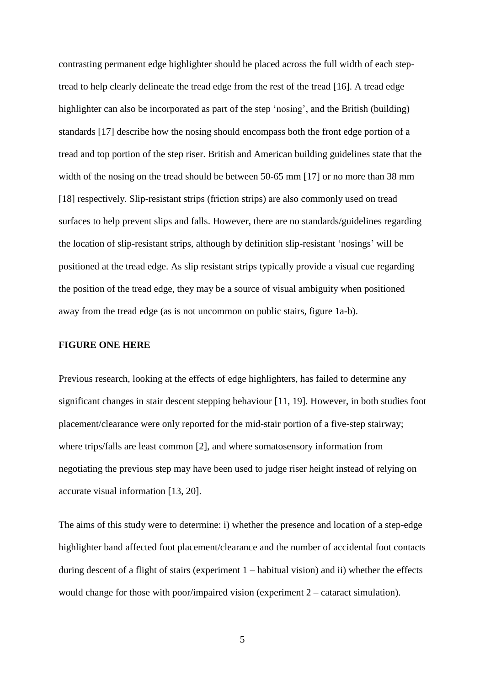contrasting permanent edge highlighter should be placed across the full width of each steptread to help clearly delineate the tread edge from the rest of the tread [\[16\]](#page-18-11). A tread edge highlighter can also be incorporated as part of the step 'nosing', and the British (building) standards [\[17\]](#page-18-12) describe how the nosing should encompass both the front edge portion of a tread and top portion of the step riser. British and American building guidelines state that the width of the nosing on the tread should be between 50-65 mm [\[17\]](#page-18-12) or no more than 38 mm [\[18\]](#page-18-13) respectively. Slip-resistant strips (friction strips) are also commonly used on tread surfaces to help prevent slips and falls. However, there are no standards/guidelines regarding the location of slip-resistant strips, although by definition slip-resistant 'nosings' will be positioned at the tread edge. As slip resistant strips typically provide a visual cue regarding the position of the tread edge, they may be a source of visual ambiguity when positioned away from the tread edge (as is not uncommon on public stairs, figure 1a-b).

#### **FIGURE ONE HERE**

Previous research, looking at the effects of edge highlighters, has failed to determine any significant changes in stair descent stepping behaviour [\[11,](#page-18-14) [19\]](#page-18-15). However, in both studies foot placement/clearance were only reported for the mid-stair portion of a five-step stairway; where trips/falls are least common [\[2\]](#page-18-1), and where somatosensory information from negotiating the previous step may have been used to judge riser height instead of relying on accurate visual information [\[13,](#page-18-10) [20\]](#page-19-0).

The aims of this study were to determine: i) whether the presence and location of a step-edge highlighter band affected foot placement/clearance and the number of accidental foot contacts during descent of a flight of stairs (experiment 1 – habitual vision) and ii) whether the effects would change for those with poor/impaired vision (experiment 2 – cataract simulation).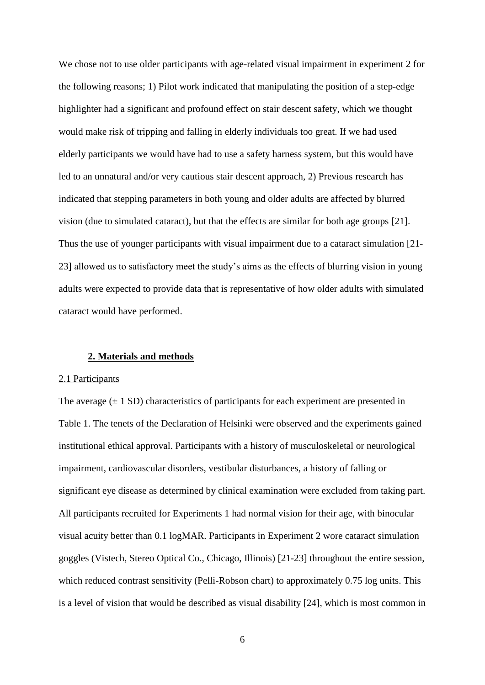We chose not to use older participants with age-related visual impairment in experiment 2 for the following reasons; 1) Pilot work indicated that manipulating the position of a step-edge highlighter had a significant and profound effect on stair descent safety, which we thought would make risk of tripping and falling in elderly individuals too great. If we had used elderly participants we would have had to use a safety harness system, but this would have led to an unnatural and/or very cautious stair descent approach, 2) Previous research has indicated that stepping parameters in both young and older adults are affected by blurred vision (due to simulated cataract), but that the effects are similar for both age groups [\[21\]](#page-19-1). Thus the use of younger participants with visual impairment due to a cataract simulation [21- 23] allowed us to satisfactory meet the study's aims as the effects of blurring vision in young adults were expected to provide data that is representative of how older adults with simulated cataract would have performed.

#### **2. Materials and methods**

#### 2.1 Participants

The average  $(\pm 1 \text{ SD})$  characteristics of participants for each experiment are presented in Table 1. The tenets of the Declaration of Helsinki were observed and the experiments gained institutional ethical approval. Participants with a history of musculoskeletal or neurological impairment, cardiovascular disorders, vestibular disturbances, a history of falling or significant eye disease as determined by clinical examination were excluded from taking part. All participants recruited for Experiments 1 had normal vision for their age, with binocular visual acuity better than 0.1 logMAR. Participants in Experiment 2 wore cataract simulation goggles (Vistech, Stereo Optical Co., Chicago, Illinois) [\[21-23\]](#page-19-1) throughout the entire session, which reduced contrast sensitivity (Pelli-Robson chart) to approximately 0.75 log units. This is a level of vision that would be described as visual disability [\[24\]](#page-19-2), which is most common in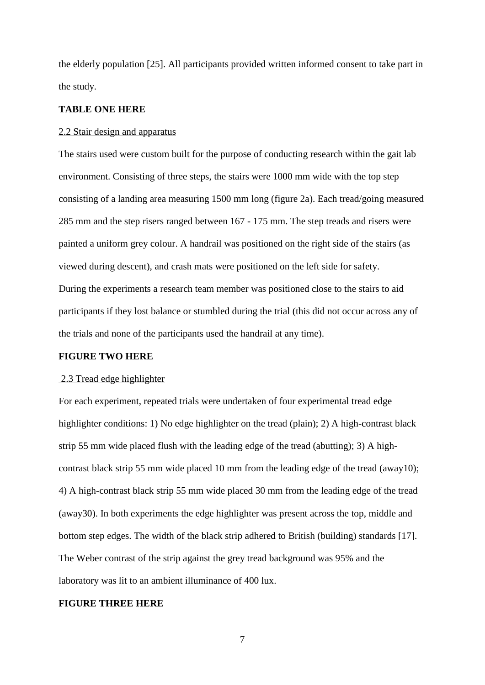the elderly population [\[25\]](#page-19-3). All participants provided written informed consent to take part in the study.

## **TABLE ONE HERE**

#### 2.2 Stair design and apparatus

The stairs used were custom built for the purpose of conducting research within the gait lab environment. Consisting of three steps, the stairs were 1000 mm wide with the top step consisting of a landing area measuring 1500 mm long (figure 2a). Each tread/going measured 285 mm and the step risers ranged between 167 - 175 mm. The step treads and risers were painted a uniform grey colour. A handrail was positioned on the right side of the stairs (as viewed during descent), and crash mats were positioned on the left side for safety. During the experiments a research team member was positioned close to the stairs to aid participants if they lost balance or stumbled during the trial (this did not occur across any of the trials and none of the participants used the handrail at any time).

## **FIGURE TWO HERE**

#### 2.3 Tread edge highlighter

For each experiment, repeated trials were undertaken of four experimental tread edge highlighter conditions: 1) No edge highlighter on the tread (plain); 2) A high-contrast black strip 55 mm wide placed flush with the leading edge of the tread (abutting); 3) A highcontrast black strip 55 mm wide placed 10 mm from the leading edge of the tread (away10); 4) A high-contrast black strip 55 mm wide placed 30 mm from the leading edge of the tread (away30). In both experiments the edge highlighter was present across the top, middle and bottom step edges. The width of the black strip adhered to British (building) standards [\[17\]](#page-18-12). The Weber contrast of the strip against the grey tread background was 95% and the laboratory was lit to an ambient illuminance of 400 lux.

# **FIGURE THREE HERE**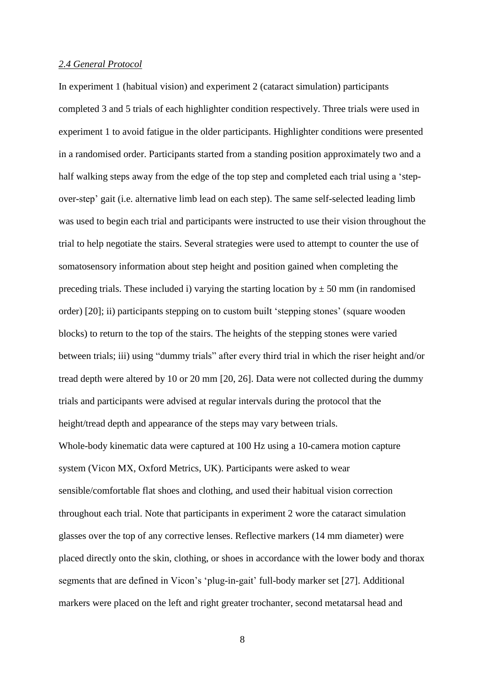#### *2.4 General Protocol*

In experiment 1 (habitual vision) and experiment 2 (cataract simulation) participants completed 3 and 5 trials of each highlighter condition respectively. Three trials were used in experiment 1 to avoid fatigue in the older participants. Highlighter conditions were presented in a randomised order. Participants started from a standing position approximately two and a half walking steps away from the edge of the top step and completed each trial using a 'stepover-step' gait (i.e. alternative limb lead on each step). The same self-selected leading limb was used to begin each trial and participants were instructed to use their vision throughout the trial to help negotiate the stairs. Several strategies were used to attempt to counter the use of somatosensory information about step height and position gained when completing the preceding trials. These included i) varying the starting location by  $\pm$  50 mm (in randomised order) [\[20\]](#page-19-0); ii) participants stepping on to custom built 'stepping stones' (square wooden blocks) to return to the top of the stairs. The heights of the stepping stones were varied between trials; iii) using "dummy trials" after every third trial in which the riser height and/or tread depth were altered by 10 or 20 mm [\[20,](#page-19-0) [26\]](#page-19-4). Data were not collected during the dummy trials and participants were advised at regular intervals during the protocol that the height/tread depth and appearance of the steps may vary between trials. Whole-body kinematic data were captured at 100 Hz using a 10-camera motion capture system (Vicon MX, Oxford Metrics, UK). Participants were asked to wear sensible/comfortable flat shoes and clothing, and used their habitual vision correction throughout each trial. Note that participants in experiment 2 wore the cataract simulation glasses over the top of any corrective lenses. Reflective markers (14 mm diameter) were placed directly onto the skin, clothing, or shoes in accordance with the lower body and thorax segments that are defined in Vicon's 'plug-in-gait' full-body marker set [\[27\]](#page-19-5). Additional markers were placed on the left and right greater trochanter, second metatarsal head and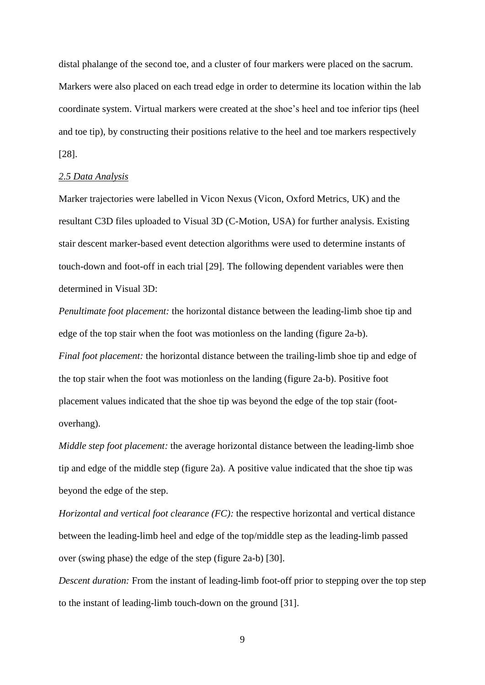distal phalange of the second toe, and a cluster of four markers were placed on the sacrum. Markers were also placed on each tread edge in order to determine its location within the lab coordinate system. Virtual markers were created at the shoe's heel and toe inferior tips (heel and toe tip), by constructing their positions relative to the heel and toe markers respectively [\[28\]](#page-19-6).

## *2.5 Data Analysis*

Marker trajectories were labelled in Vicon Nexus (Vicon, Oxford Metrics, UK) and the resultant C3D files uploaded to Visual 3D (C-Motion, USA) for further analysis. Existing stair descent marker-based event detection algorithms were used to determine instants of touch-down and foot-off in each trial [\[29\]](#page-19-7). The following dependent variables were then determined in Visual 3D:

*Penultimate foot placement:* the horizontal distance between the leading-limb shoe tip and edge of the top stair when the foot was motionless on the landing (figure 2a-b). *Final foot placement:* the horizontal distance between the trailing-limb shoe tip and edge of the top stair when the foot was motionless on the landing (figure 2a-b). Positive foot placement values indicated that the shoe tip was beyond the edge of the top stair (footoverhang).

*Middle step foot placement:* the average horizontal distance between the leading-limb shoe tip and edge of the middle step (figure 2a). A positive value indicated that the shoe tip was beyond the edge of the step.

*Horizontal and vertical foot clearance (FC):* the respective horizontal and vertical distance between the leading-limb heel and edge of the top/middle step as the leading-limb passed over (swing phase) the edge of the step (figure 2a-b) [\[30\]](#page-19-8).

*Descent duration:* From the instant of leading-limb foot-off prior to stepping over the top step to the instant of leading-limb touch-down on the ground [\[31\]](#page-19-9).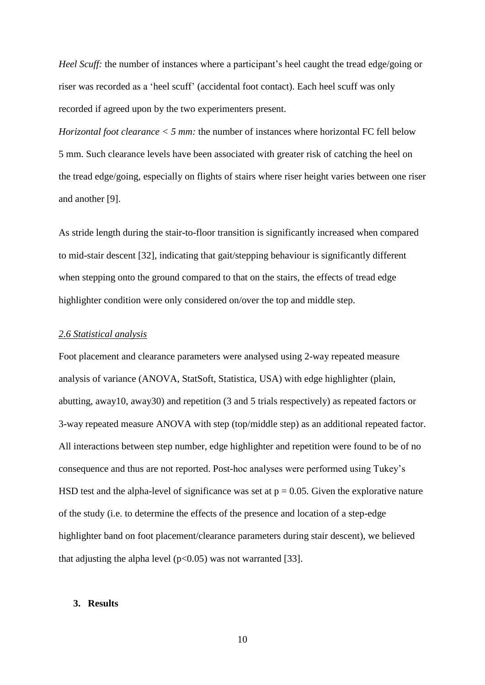*Heel Scuff:* the number of instances where a participant's heel caught the tread edge/going or riser was recorded as a 'heel scuff' (accidental foot contact). Each heel scuff was only recorded if agreed upon by the two experimenters present.

*Horizontal foot clearance < 5 mm:* the number of instances where horizontal FC fell below 5 mm. Such clearance levels have been associated with greater risk of catching the heel on the tread edge/going, especially on flights of stairs where riser height varies between one riser and another [\[9\]](#page-18-8).

As stride length during the stair-to-floor transition is significantly increased when compared to mid-stair descent [\[32\]](#page-19-10), indicating that gait/stepping behaviour is significantly different when stepping onto the ground compared to that on the stairs, the effects of tread edge highlighter condition were only considered on/over the top and middle step.

# *2.6 Statistical analysis*

Foot placement and clearance parameters were analysed using 2-way repeated measure analysis of variance (ANOVA, StatSoft, Statistica, USA) with edge highlighter (plain, abutting, away10, away30) and repetition (3 and 5 trials respectively) as repeated factors or 3-way repeated measure ANOVA with step (top/middle step) as an additional repeated factor. All interactions between step number, edge highlighter and repetition were found to be of no consequence and thus are not reported. Post-hoc analyses were performed using Tukey's HSD test and the alpha-level of significance was set at  $p = 0.05$ . Given the explorative nature of the study (i.e. to determine the effects of the presence and location of a step-edge highlighter band on foot placement/clearance parameters during stair descent), we believed that adjusting the alpha level ( $p<0.05$ ) was not warranted [\[33\]](#page-19-11).

## **3. Results**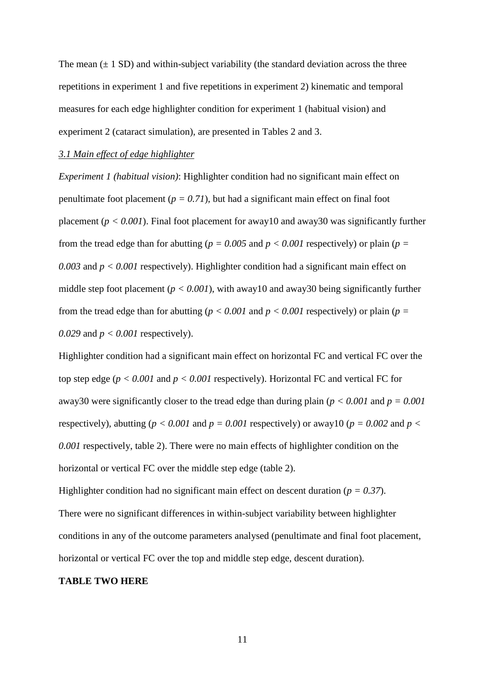The mean  $(\pm 1 \text{ SD})$  and within-subject variability (the standard deviation across the three repetitions in experiment 1 and five repetitions in experiment 2) kinematic and temporal measures for each edge highlighter condition for experiment 1 (habitual vision) and experiment 2 (cataract simulation), are presented in Tables 2 and 3.

#### *3.1 Main effect of edge highlighter*

*Experiment 1 (habitual vision)*: Highlighter condition had no significant main effect on penultimate foot placement ( $p = 0.71$ ), but had a significant main effect on final foot placement ( $p < 0.001$ ). Final foot placement for away10 and away30 was significantly further from the tread edge than for abutting ( $p = 0.005$  and  $p < 0.001$  respectively) or plain ( $p =$ *0.003* and *p < 0.001* respectively). Highlighter condition had a significant main effect on middle step foot placement (*p < 0.001*), with away10 and away30 being significantly further from the tread edge than for abutting ( $p < 0.001$  and  $p < 0.001$  respectively) or plain ( $p =$ *0.029* and *p < 0.001* respectively).

Highlighter condition had a significant main effect on horizontal FC and vertical FC over the top step edge ( $p < 0.001$  and  $p < 0.001$  respectively). Horizontal FC and vertical FC for away30 were significantly closer to the tread edge than during plain ( $p < 0.001$  and  $p = 0.001$ ) respectively), abutting ( $p < 0.001$  and  $p = 0.001$  respectively) or away10 ( $p = 0.002$  and  $p <$ *0.001* respectively, table 2). There were no main effects of highlighter condition on the horizontal or vertical FC over the middle step edge (table 2).

Highlighter condition had no significant main effect on descent duration (*p = 0.37*). There were no significant differences in within-subject variability between highlighter conditions in any of the outcome parameters analysed (penultimate and final foot placement, horizontal or vertical FC over the top and middle step edge, descent duration).

#### **TABLE TWO HERE**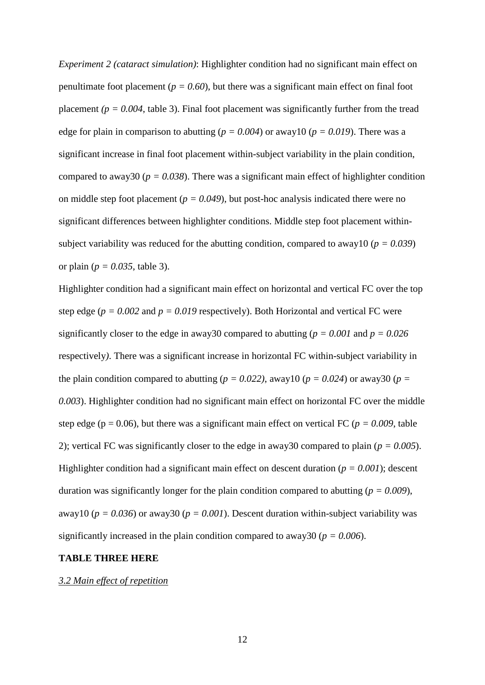*Experiment 2 (cataract simulation)*: Highlighter condition had no significant main effect on penultimate foot placement ( $p = 0.60$ ), but there was a significant main effect on final foot placement  $(p = 0.004$ , table 3). Final foot placement was significantly further from the tread edge for plain in comparison to abutting ( $p = 0.004$ ) or away10 ( $p = 0.019$ ). There was a significant increase in final foot placement within-subject variability in the plain condition, compared to away30 ( $p = 0.038$ ). There was a significant main effect of highlighter condition on middle step foot placement ( $p = 0.049$ ), but post-hoc analysis indicated there were no significant differences between highlighter conditions. Middle step foot placement withinsubject variability was reduced for the abutting condition, compared to away10 (*p = 0.039*) or plain ( $p = 0.035$ , table 3).

Highlighter condition had a significant main effect on horizontal and vertical FC over the top step edge ( $p = 0.002$  and  $p = 0.019$  respectively). Both Horizontal and vertical FC were significantly closer to the edge in away30 compared to abutting ( $p = 0.001$  and  $p = 0.026$ ) respectively*)*. There was a significant increase in horizontal FC within-subject variability in the plain condition compared to abutting ( $p = 0.022$ ), away10 ( $p = 0.024$ ) or away30 ( $p =$ *0.003*). Highlighter condition had no significant main effect on horizontal FC over the middle step edge ( $p = 0.06$ ), but there was a significant main effect on vertical FC ( $p = 0.009$ , table 2); vertical FC was significantly closer to the edge in away30 compared to plain (*p = 0.005*). Highlighter condition had a significant main effect on descent duration (*p = 0.001*); descent duration was significantly longer for the plain condition compared to abutting (*p = 0.009*), away10 ( $p = 0.036$ ) or away30 ( $p = 0.001$ ). Descent duration within-subject variability was significantly increased in the plain condition compared to away30 ( $p = 0.006$ ).

## **TABLE THREE HERE**

*3.2 Main effect of repetition*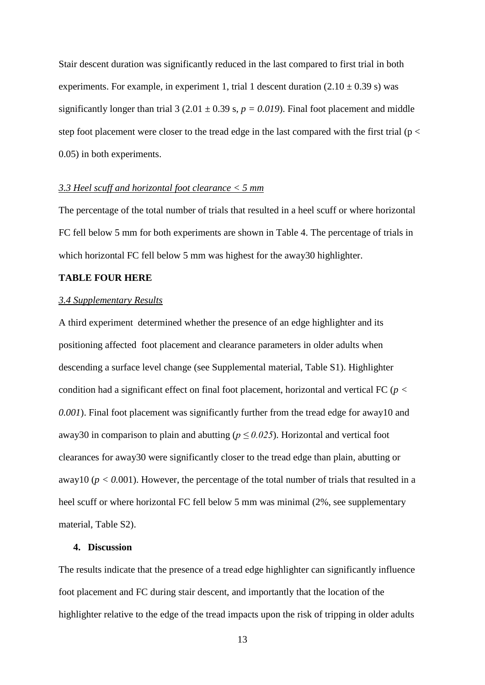Stair descent duration was significantly reduced in the last compared to first trial in both experiments. For example, in experiment 1, trial 1 descent duration  $(2.10 \pm 0.39 \text{ s})$  was significantly longer than trial 3 (2.01  $\pm$  0.39 s,  $p = 0.019$ ). Final foot placement and middle step foot placement were closer to the tread edge in the last compared with the first trial ( $p <$ 0.05) in both experiments.

#### *3.3 Heel scuff and horizontal foot clearance < 5 mm*

The percentage of the total number of trials that resulted in a heel scuff or where horizontal FC fell below 5 mm for both experiments are shown in Table 4. The percentage of trials in which horizontal FC fell below 5 mm was highest for the away30 highlighter.

# **TABLE FOUR HERE**

## *3.4 Supplementary Results*

A third experiment determined whether the presence of an edge highlighter and its positioning affected foot placement and clearance parameters in older adults when descending a surface level change (see Supplemental material, Table S1). Highlighter condition had a significant effect on final foot placement, horizontal and vertical FC (*p < 0.001*). Final foot placement was significantly further from the tread edge for away10 and away30 in comparison to plain and abutting ( $p \le 0.025$ ). Horizontal and vertical foot clearances for away30 were significantly closer to the tread edge than plain, abutting or away10 ( $p < 0.001$ ). However, the percentage of the total number of trials that resulted in a heel scuff or where horizontal FC fell below 5 mm was minimal (2%, see supplementary material, Table S2).

# **4. Discussion**

The results indicate that the presence of a tread edge highlighter can significantly influence foot placement and FC during stair descent, and importantly that the location of the highlighter relative to the edge of the tread impacts upon the risk of tripping in older adults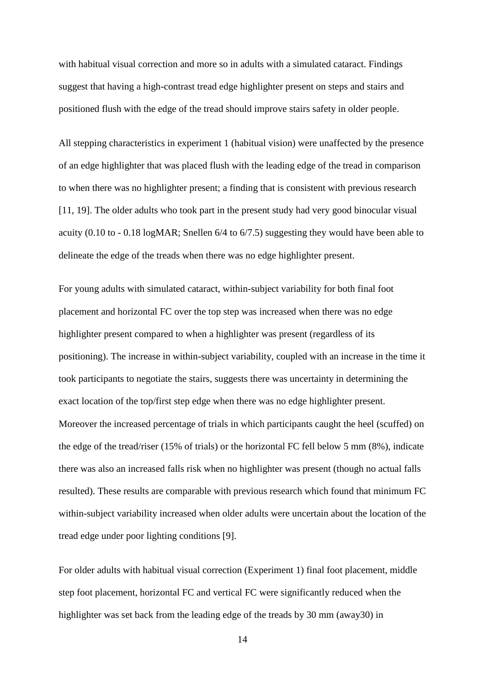with habitual visual correction and more so in adults with a simulated cataract. Findings suggest that having a high-contrast tread edge highlighter present on steps and stairs and positioned flush with the edge of the tread should improve stairs safety in older people.

All stepping characteristics in experiment 1 (habitual vision) were unaffected by the presence of an edge highlighter that was placed flush with the leading edge of the tread in comparison to when there was no highlighter present; a finding that is consistent with previous research [\[11,](#page-18-14) [19\]](#page-18-15). The older adults who took part in the present study had very good binocular visual acuity (0.10 to - 0.18 logMAR; Snellen 6/4 to 6/7.5) suggesting they would have been able to delineate the edge of the treads when there was no edge highlighter present.

For young adults with simulated cataract, within-subject variability for both final foot placement and horizontal FC over the top step was increased when there was no edge highlighter present compared to when a highlighter was present (regardless of its positioning). The increase in within-subject variability, coupled with an increase in the time it took participants to negotiate the stairs, suggests there was uncertainty in determining the exact location of the top/first step edge when there was no edge highlighter present. Moreover the increased percentage of trials in which participants caught the heel (scuffed) on the edge of the tread/riser (15% of trials) or the horizontal FC fell below 5 mm (8%), indicate there was also an increased falls risk when no highlighter was present (though no actual falls resulted). These results are comparable with previous research which found that minimum FC within-subject variability increased when older adults were uncertain about the location of the tread edge under poor lighting conditions [\[9\]](#page-18-8).

For older adults with habitual visual correction (Experiment 1) final foot placement, middle step foot placement, horizontal FC and vertical FC were significantly reduced when the highlighter was set back from the leading edge of the treads by 30 mm (away30) in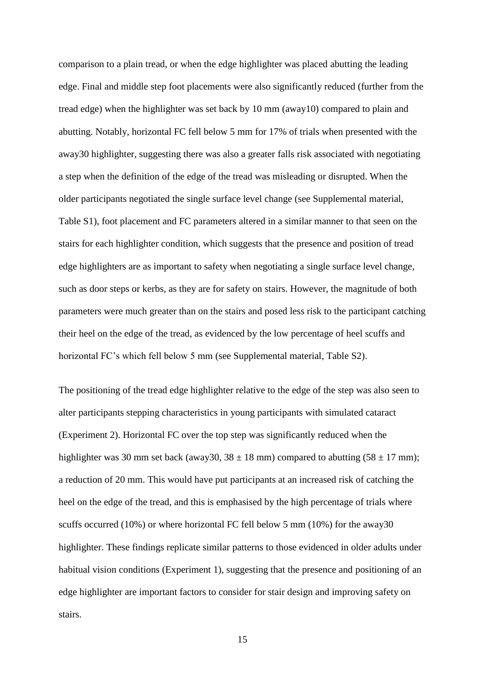comparison to a plain tread, or when the edge highlighter was placed abutting the leading edge. Final and middle step foot placements were also significantly reduced (further from the tread edge) when the highlighter was set back by 10 mm (away10) compared to plain and abutting. Notably, horizontal FC fell below 5 mm for 17% of trials when presented with the away30 highlighter, suggesting there was also a greater falls risk associated with negotiating a step when the definition of the edge of the tread was misleading or disrupted. When the older participants negotiated the single surface level change (see Supplemental material, Table S1), foot placement and FC parameters altered in a similar manner to that seen on the stairs for each highlighter condition, which suggests that the presence and position of tread edge highlighters are as important to safety when negotiating a single surface level change, such as door steps or kerbs, as they are for safety on stairs. However, the magnitude of both parameters were much greater than on the stairs and posed less risk to the participant catching their heel on the edge of the tread, as evidenced by the low percentage of heel scuffs and horizontal FC's which fell below 5 mm (see Supplemental material, Table S2).

The positioning of the tread edge highlighter relative to the edge of the step was also seen to alter participants stepping characteristics in young participants with simulated cataract (Experiment 2). Horizontal FC over the top step was significantly reduced when the highlighter was 30 mm set back (away30,  $38 \pm 18$  mm) compared to abutting  $(58 \pm 17$  mm); a reduction of 20 mm. This would have put participants at an increased risk of catching the heel on the edge of the tread, and this is emphasised by the high percentage of trials where scuffs occurred (10%) or where horizontal FC fell below 5 mm (10%) for the away30 highlighter. These findings replicate similar patterns to those evidenced in older adults under habitual vision conditions (Experiment 1), suggesting that the presence and positioning of an edge highlighter are important factors to consider for stair design and improving safety on stairs.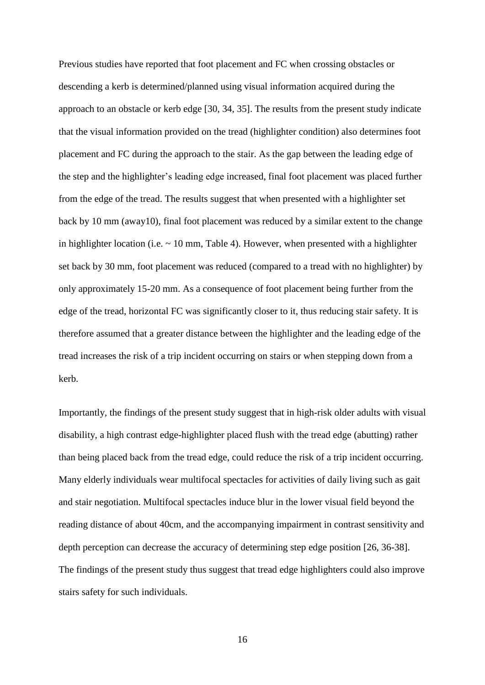Previous studies have reported that foot placement and FC when crossing obstacles or descending a kerb is determined/planned using visual information acquired during the approach to an obstacle or kerb edge [\[30,](#page-19-8) [34,](#page-19-12) [35\]](#page-19-13). The results from the present study indicate that the visual information provided on the tread (highlighter condition) also determines foot placement and FC during the approach to the stair. As the gap between the leading edge of the step and the highlighter's leading edge increased, final foot placement was placed further from the edge of the tread. The results suggest that when presented with a highlighter set back by 10 mm (away10), final foot placement was reduced by a similar extent to the change in highlighter location (i.e.  $\sim$  10 mm, Table 4). However, when presented with a highlighter set back by 30 mm, foot placement was reduced (compared to a tread with no highlighter) by only approximately 15-20 mm. As a consequence of foot placement being further from the edge of the tread, horizontal FC was significantly closer to it, thus reducing stair safety. It is therefore assumed that a greater distance between the highlighter and the leading edge of the tread increases the risk of a trip incident occurring on stairs or when stepping down from a kerb.

Importantly, the findings of the present study suggest that in high-risk older adults with visual disability, a high contrast edge-highlighter placed flush with the tread edge (abutting) rather than being placed back from the tread edge, could reduce the risk of a trip incident occurring. Many elderly individuals wear multifocal spectacles for activities of daily living such as gait and stair negotiation. Multifocal spectacles induce blur in the lower visual field beyond the reading distance of about 40cm, and the accompanying impairment in contrast sensitivity and depth perception can decrease the accuracy of determining step edge position [\[26,](#page-19-4) [36-38\]](#page-19-14). The findings of the present study thus suggest that tread edge highlighters could also improve stairs safety for such individuals.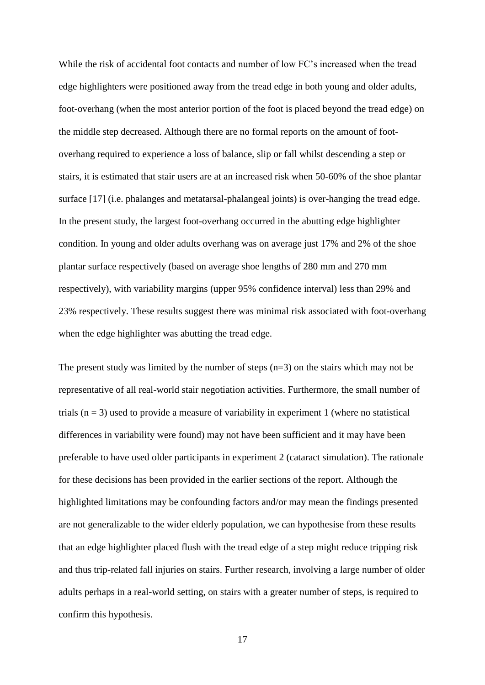While the risk of accidental foot contacts and number of low FC's increased when the tread edge highlighters were positioned away from the tread edge in both young and older adults, foot-overhang (when the most anterior portion of the foot is placed beyond the tread edge) on the middle step decreased. Although there are no formal reports on the amount of footoverhang required to experience a loss of balance, slip or fall whilst descending a step or stairs, it is estimated that stair users are at an increased risk when 50-60% of the shoe plantar surface [\[17\]](#page-18-12) (i.e. phalanges and metatarsal-phalangeal joints) is over-hanging the tread edge. In the present study, the largest foot-overhang occurred in the abutting edge highlighter condition. In young and older adults overhang was on average just 17% and 2% of the shoe plantar surface respectively (based on average shoe lengths of 280 mm and 270 mm respectively), with variability margins (upper 95% confidence interval) less than 29% and 23% respectively. These results suggest there was minimal risk associated with foot-overhang when the edge highlighter was abutting the tread edge.

The present study was limited by the number of steps  $(n=3)$  on the stairs which may not be representative of all real-world stair negotiation activities. Furthermore, the small number of trials  $(n = 3)$  used to provide a measure of variability in experiment 1 (where no statistical differences in variability were found) may not have been sufficient and it may have been preferable to have used older participants in experiment 2 (cataract simulation). The rationale for these decisions has been provided in the earlier sections of the report. Although the highlighted limitations may be confounding factors and/or may mean the findings presented are not generalizable to the wider elderly population, we can hypothesise from these results that an edge highlighter placed flush with the tread edge of a step might reduce tripping risk and thus trip-related fall injuries on stairs. Further research, involving a large number of older adults perhaps in a real-world setting, on stairs with a greater number of steps, is required to confirm this hypothesis.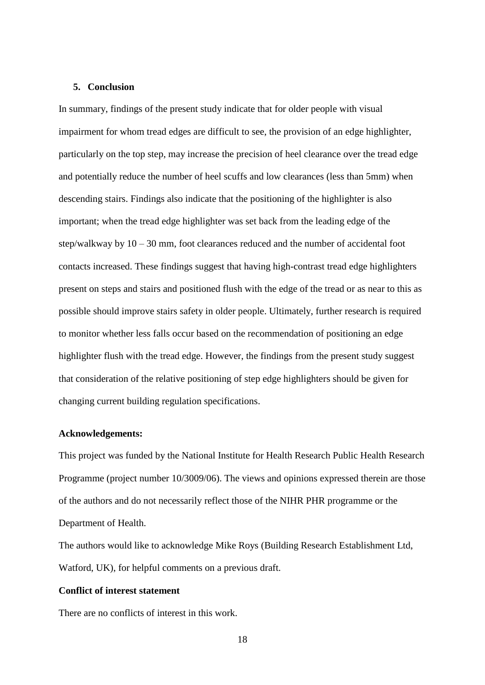## **5. Conclusion**

In summary, findings of the present study indicate that for older people with visual impairment for whom tread edges are difficult to see, the provision of an edge highlighter, particularly on the top step, may increase the precision of heel clearance over the tread edge and potentially reduce the number of heel scuffs and low clearances (less than 5mm) when descending stairs. Findings also indicate that the positioning of the highlighter is also important; when the tread edge highlighter was set back from the leading edge of the step/walkway by 10 – 30 mm, foot clearances reduced and the number of accidental foot contacts increased. These findings suggest that having high-contrast tread edge highlighters present on steps and stairs and positioned flush with the edge of the tread or as near to this as possible should improve stairs safety in older people. Ultimately, further research is required to monitor whether less falls occur based on the recommendation of positioning an edge highlighter flush with the tread edge. However, the findings from the present study suggest that consideration of the relative positioning of step edge highlighters should be given for changing current building regulation specifications.

### **Acknowledgements:**

This project was funded by the National Institute for Health Research Public Health Research Programme (project number 10/3009/06). The views and opinions expressed therein are those of the authors and do not necessarily reflect those of the NIHR PHR programme or the Department of Health.

The authors would like to acknowledge Mike Roys (Building Research Establishment Ltd, Watford, UK), for helpful comments on a previous draft.

# **Conflict of interest statement**

There are no conflicts of interest in this work.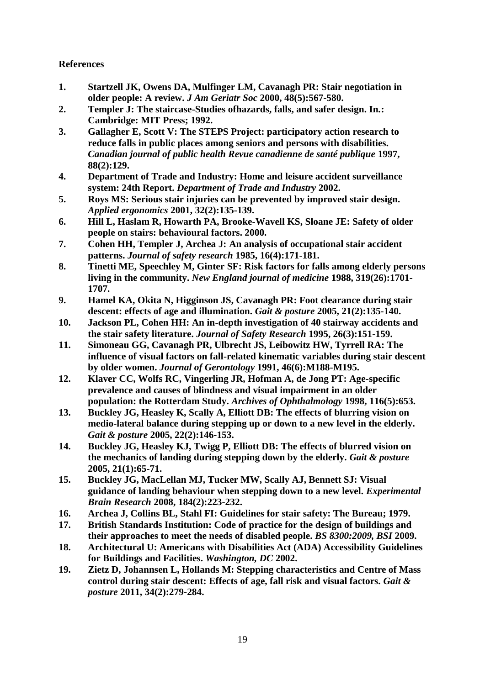# **References**

- <span id="page-18-0"></span>**1. Startzell JK, Owens DA, Mulfinger LM, Cavanagh PR: Stair negotiation in older people: A review.** *J Am Geriatr Soc* **2000, 48(5):567-580.**
- <span id="page-18-1"></span>**2. Templer J: The staircase-Studies ofhazards, falls, and safer design. In***.***: Cambridge: MIT Press; 1992.**
- <span id="page-18-2"></span>**3. Gallagher E, Scott V: The STEPS Project: participatory action research to reduce falls in public places among seniors and persons with disabilities.**  *Canadian journal of public health Revue canadienne de santé publique* **1997, 88(2):129.**
- <span id="page-18-3"></span>**4. Department of Trade and Industry: Home and leisure accident surveillance system: 24th Report.** *Department of Trade and Industry* **2002.**
- <span id="page-18-4"></span>**5. Roys MS: Serious stair injuries can be prevented by improved stair design.**  *Applied ergonomics* **2001, 32(2):135-139.**
- <span id="page-18-5"></span>**6. Hill L, Haslam R, Howarth PA, Brooke-Wavell KS, Sloane JE: Safety of older people on stairs: behavioural factors. 2000.**
- <span id="page-18-6"></span>**7. Cohen HH, Templer J, Archea J: An analysis of occupational stair accident patterns.** *Journal of safety research* **1985, 16(4):171-181.**
- <span id="page-18-7"></span>**8. Tinetti ME, Speechley M, Ginter SF: Risk factors for falls among elderly persons living in the community.** *New England journal of medicine* **1988, 319(26):1701- 1707.**
- <span id="page-18-8"></span>**9. Hamel KA, Okita N, Higginson JS, Cavanagh PR: Foot clearance during stair descent: effects of age and illumination.** *Gait & posture* **2005, 21(2):135-140.**
- **10. Jackson PL, Cohen HH: An in-depth investigation of 40 stairway accidents and the stair safety literature.** *Journal of Safety Research* **1995, 26(3):151-159.**
- <span id="page-18-14"></span>**11. Simoneau GG, Cavanagh PR, Ulbrecht JS, Leibowitz HW, Tyrrell RA: The influence of visual factors on fall-related kinematic variables during stair descent by older women.** *Journal of Gerontology* **1991, 46(6):M188-M195.**
- <span id="page-18-9"></span>**12. Klaver CC, Wolfs RC, Vingerling JR, Hofman A, de Jong PT: Age-specific prevalence and causes of blindness and visual impairment in an older population: the Rotterdam Study.** *Archives of Ophthalmology* **1998, 116(5):653.**
- <span id="page-18-10"></span>**13. Buckley JG, Heasley K, Scally A, Elliott DB: The effects of blurring vision on medio-lateral balance during stepping up or down to a new level in the elderly.**  *Gait & posture* **2005, 22(2):146-153.**
- **14. Buckley JG, Heasley KJ, Twigg P, Elliott DB: The effects of blurred vision on the mechanics of landing during stepping down by the elderly.** *Gait & posture*  **2005, 21(1):65-71.**
- **15. Buckley JG, MacLellan MJ, Tucker MW, Scally AJ, Bennett SJ: Visual guidance of landing behaviour when stepping down to a new level.** *Experimental Brain Research* **2008, 184(2):223-232.**
- <span id="page-18-11"></span>**16. Archea J, Collins BL, Stahl FI: Guidelines for stair safety: The Bureau; 1979.**
- <span id="page-18-12"></span>**17. British Standards Institution: Code of practice for the design of buildings and their approaches to meet the needs of disabled people.** *BS 8300:2009, BSI* **2009.**
- <span id="page-18-13"></span>**18. Architectural U: Americans with Disabilities Act (ADA) Accessibility Guidelines for Buildings and Facilities.** *Washington, DC* **2002.**
- <span id="page-18-15"></span>**19. Zietz D, Johannsen L, Hollands M: Stepping characteristics and Centre of Mass control during stair descent: Effects of age, fall risk and visual factors.** *Gait & posture* **2011, 34(2):279-284.**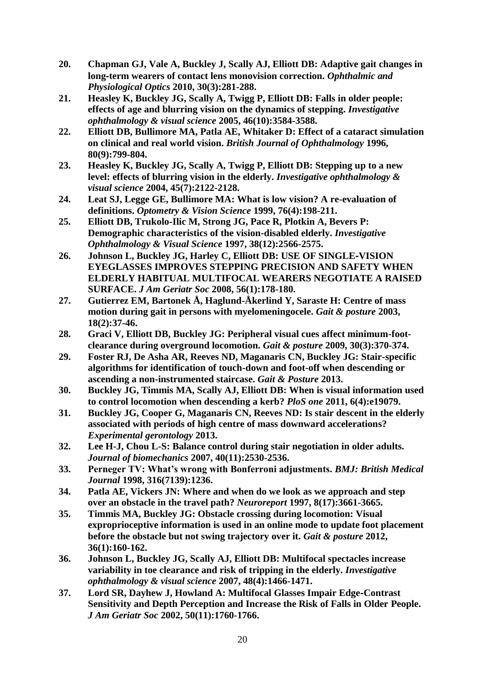- <span id="page-19-0"></span>**20. Chapman GJ, Vale A, Buckley J, Scally AJ, Elliott DB: Adaptive gait changes in long**‐**term wearers of contact lens monovision correction.** *Ophthalmic and Physiological Optics* **2010, 30(3):281-288.**
- <span id="page-19-1"></span>**21. Heasley K, Buckley JG, Scally A, Twigg P, Elliott DB: Falls in older people: effects of age and blurring vision on the dynamics of stepping.** *Investigative ophthalmology & visual science* **2005, 46(10):3584-3588.**
- **22. Elliott DB, Bullimore MA, Patla AE, Whitaker D: Effect of a cataract simulation on clinical and real world vision.** *British Journal of Ophthalmology* **1996, 80(9):799-804.**
- **23. Heasley K, Buckley JG, Scally A, Twigg P, Elliott DB: Stepping up to a new level: effects of blurring vision in the elderly.** *Investigative ophthalmology & visual science* **2004, 45(7):2122-2128.**
- <span id="page-19-2"></span>**24. Leat SJ, Legge GE, Bullimore MA: What is low vision? A re-evaluation of definitions.** *Optometry & Vision Science* **1999, 76(4):198-211.**
- <span id="page-19-3"></span>**25. Elliott DB, Trukolo-Ilic M, Strong JG, Pace R, Plotkin A, Bevers P: Demographic characteristics of the vision-disabled elderly.** *Investigative Ophthalmology & Visual Science* **1997, 38(12):2566-2575.**
- <span id="page-19-4"></span>**26. Johnson L, Buckley JG, Harley C, Elliott DB: USE OF SINGLE**‐**VISION EYEGLASSES IMPROVES STEPPING PRECISION AND SAFETY WHEN ELDERLY HABITUAL MULTIFOCAL WEARERS NEGOTIATE A RAISED SURFACE.** *J Am Geriatr Soc* **2008, 56(1):178-180.**
- <span id="page-19-5"></span>**27. Gutierrez EM, Bartonek Å, Haglund-Åkerlind Y, Saraste H: Centre of mass motion during gait in persons with myelomeningocele.** *Gait & posture* **2003, 18(2):37-46.**
- <span id="page-19-6"></span>**28. Graci V, Elliott DB, Buckley JG: Peripheral visual cues affect minimum-footclearance during overground locomotion.** *Gait & posture* **2009, 30(3):370-374.**
- <span id="page-19-7"></span>**29. Foster RJ, De Asha AR, Reeves ND, Maganaris CN, Buckley JG: Stair-specific algorithms for identification of touch-down and foot-off when descending or ascending a non-instrumented staircase.** *Gait & Posture* **2013.**
- <span id="page-19-8"></span>**30. Buckley JG, Timmis MA, Scally AJ, Elliott DB: When is visual information used to control locomotion when descending a kerb?** *PloS one* **2011, 6(4):e19079.**
- <span id="page-19-9"></span>**31. Buckley JG, Cooper G, Maganaris CN, Reeves ND: Is stair descent in the elderly associated with periods of high centre of mass downward accelerations?**  *Experimental gerontology* **2013.**
- <span id="page-19-10"></span>**32. Lee H-J, Chou L-S: Balance control during stair negotiation in older adults.**  *Journal of biomechanics* **2007, 40(11):2530-2536.**
- <span id="page-19-11"></span>**33. Perneger TV: What's wrong with Bonferroni adjustments.** *BMJ: British Medical Journal* **1998, 316(7139):1236.**
- <span id="page-19-12"></span>**34. Patla AE, Vickers JN: Where and when do we look as we approach and step over an obstacle in the travel path?** *Neuroreport* **1997, 8(17):3661-3665.**
- <span id="page-19-13"></span>**35. Timmis MA, Buckley JG: Obstacle crossing during locomotion: Visual exproprioceptive information is used in an online mode to update foot placement before the obstacle but not swing trajectory over it.** *Gait & posture* **2012, 36(1):160-162.**
- <span id="page-19-14"></span>**36. Johnson L, Buckley JG, Scally AJ, Elliott DB: Multifocal spectacles increase variability in toe clearance and risk of tripping in the elderly.** *Investigative ophthalmology & visual science* **2007, 48(4):1466-1471.**
- **37. Lord SR, Dayhew J, Howland A: Multifocal Glasses Impair Edge**‐**Contrast Sensitivity and Depth Perception and Increase the Risk of Falls in Older People.**  *J Am Geriatr Soc* **2002, 50(11):1760-1766.**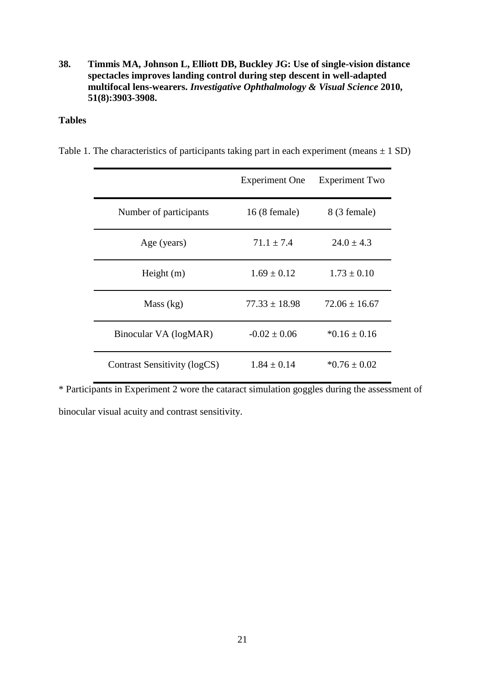**38. Timmis MA, Johnson L, Elliott DB, Buckley JG: Use of single-vision distance spectacles improves landing control during step descent in well-adapted multifocal lens-wearers.** *Investigative Ophthalmology & Visual Science* **2010, 51(8):3903-3908.**

# **Tables**

Table 1. The characteristics of participants taking part in each experiment (means  $\pm$  1 SD)

|                              | <b>Experiment One</b>  | <b>Experiment Two</b> |
|------------------------------|------------------------|-----------------------|
| Number of participants       | $16(8 \text{ female})$ | 8 (3 female)          |
| Age (years)                  | $71.1 \pm 7.4$         | $24.0 \pm 4.3$        |
| Height $(m)$                 | $1.69 \pm 0.12$        | $1.73 \pm 0.10$       |
| Mass (kg)                    | $77.33 \pm 18.98$      | $72.06 \pm 16.67$     |
| Binocular VA (logMAR)        | $-0.02 \pm 0.06$       | $*0.16 \pm 0.16$      |
| Contrast Sensitivity (logCS) | $1.84 \pm 0.14$        | $*0.76 \pm 0.02$      |

\* Participants in Experiment 2 wore the cataract simulation goggles during the assessment of binocular visual acuity and contrast sensitivity.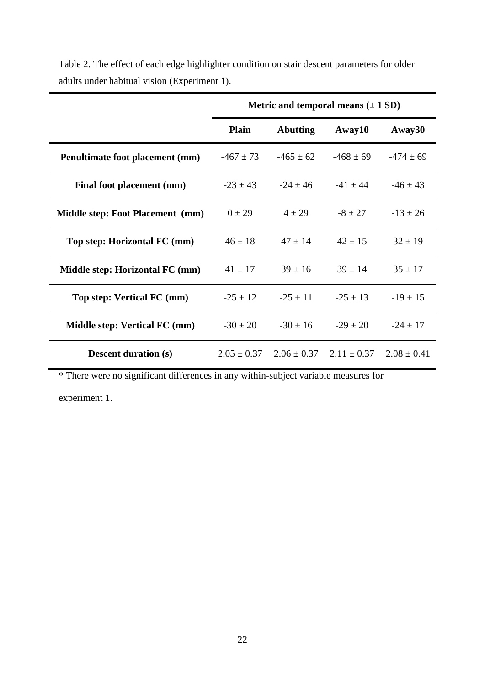|                                         | Metric and temporal means $(\pm 1 \text{ SD})$ |                                 |                                 |               |
|-----------------------------------------|------------------------------------------------|---------------------------------|---------------------------------|---------------|
|                                         | <b>Plain</b>                                   | <b>Abutting</b>                 | Away10                          | Away30        |
| Penultimate foot placement (mm)         | $-467 \pm 73$                                  | $-465 \pm 62$                   | $-468 \pm 69$                   | $-474 \pm 69$ |
| Final foot placement (mm)               | $-23 \pm 43$                                   | $-24 \pm 46$                    | $-41 \pm 44$                    | $-46 \pm 43$  |
| <b>Middle step: Foot Placement (mm)</b> | $0 \pm 29$                                     | $4 \pm 29$                      | $-8 \pm 27$                     | $-13 \pm 26$  |
| Top step: Horizontal FC (mm)            | $46 \pm 18$                                    | $47 \pm 14$                     | $42 \pm 15$                     | $32 \pm 19$   |
| Middle step: Horizontal FC (mm)         | $41 \pm 17$                                    | $39 \pm 16$                     | $39 \pm 14$                     | $35 \pm 17$   |
| Top step: Vertical FC (mm)              | $-25 \pm 12$                                   | $-25 \pm 11$                    | $-25 \pm 13$                    | $-19 \pm 15$  |
| Middle step: Vertical FC (mm)           | $-30 \pm 20$                                   | $-30 \pm 16$                    | $-29 \pm 20$                    | $-24 \pm 17$  |
| <b>Descent duration (s)</b>             |                                                | $2.05 \pm 0.37$ $2.06 \pm 0.37$ | $2.11 \pm 0.37$ $2.08 \pm 0.41$ |               |

Table 2. The effect of each edge highlighter condition on stair descent parameters for older adults under habitual vision (Experiment 1).

\* There were no significant differences in any within-subject variable measures for

experiment 1.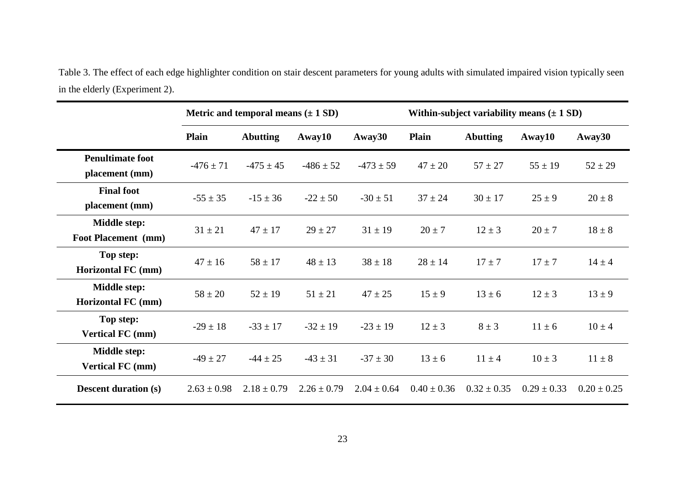Table 3. The effect of each edge highlighter condition on stair descent parameters for young adults with simulated impaired vision typically seen in the elderly (Experiment 2).

|                                            |                 | Metric and temporal means $(\pm 1 \text{ SD})$ |                 |                 |                 |                 | Within-subject variability means $(\pm 1 \text{ SD})$ |                 |
|--------------------------------------------|-----------------|------------------------------------------------|-----------------|-----------------|-----------------|-----------------|-------------------------------------------------------|-----------------|
|                                            | <b>Plain</b>    | <b>Abutting</b>                                | Away10          | Away30          | <b>Plain</b>    | <b>Abutting</b> | Away10                                                | Away30          |
| <b>Penultimate foot</b><br>placement (mm)  | $-476 \pm 71$   | $-475 \pm 45$                                  | $-486 \pm 52$   | $-473 \pm 59$   | $47 \pm 20$     | $57 \pm 27$     | $55 \pm 19$                                           | $52 \pm 29$     |
| <b>Final foot</b><br>placement (mm)        | $-55 \pm 35$    | $-15 \pm 36$                                   | $-22 \pm 50$    | $-30 \pm 51$    | $37 \pm 24$     | $30 \pm 17$     | $25 \pm 9$                                            | $20 \pm 8$      |
| <b>Middle step:</b><br>Foot Placement (mm) | $31 \pm 21$     | $47 \pm 17$                                    | $29 \pm 27$     | $31 \pm 19$     | $20 \pm 7$      | $12 \pm 3$      | $20 \pm 7$                                            | $18 \pm 8$      |
| Top step:<br><b>Horizontal FC</b> (mm)     | $47 \pm 16$     | $58 \pm 17$                                    | $48 \pm 13$     | $38 \pm 18$     | $28 \pm 14$     | $17 \pm 7$      | $17 \pm 7$                                            | $14 \pm 4$      |
| Middle step:<br><b>Horizontal FC</b> (mm)  | $58 \pm 20$     | $52 \pm 19$                                    | $51 \pm 21$     | $47 \pm 25$     | $15 \pm 9$      | $13 \pm 6$      | $12 \pm 3$                                            | $13 \pm 9$      |
| Top step:<br><b>Vertical FC (mm)</b>       | $-29 \pm 18$    | $-33 \pm 17$                                   | $-32 \pm 19$    | $-23 \pm 19$    | $12 \pm 3$      | $8 \pm 3$       | $11 \pm 6$                                            | $10 \pm 4$      |
| Middle step:<br><b>Vertical FC</b> (mm)    | $-49 \pm 27$    | $-44 \pm 25$                                   | $-43 \pm 31$    | $-37 \pm 30$    | $13 \pm 6$      | $11 \pm 4$      | $10 \pm 3$                                            | $11 \pm 8$      |
| <b>Descent duration (s)</b>                | $2.63 \pm 0.98$ | $2.18 \pm 0.79$                                | $2.26 \pm 0.79$ | $2.04 \pm 0.64$ | $0.40 \pm 0.36$ | $0.32 \pm 0.35$ | $0.29 \pm 0.33$                                       | $0.20 \pm 0.25$ |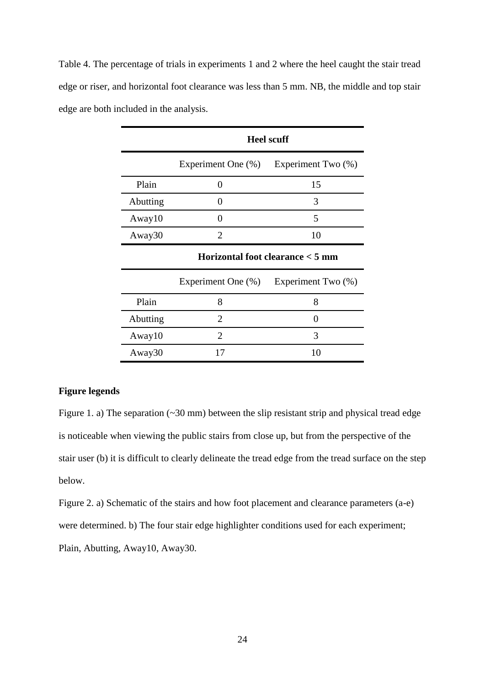Table 4. The percentage of trials in experiments 1 and 2 where the heel caught the stair tread edge or riser, and horizontal foot clearance was less than 5 mm. NB, the middle and top stair edge are both included in the analysis.

|          | <b>Heel scuff</b>  |                                  |  |
|----------|--------------------|----------------------------------|--|
|          | Experiment One (%) | Experiment Two (%)               |  |
| Plain    | 0                  | 15                               |  |
| Abutting | 0                  | 3                                |  |
| Away10   | 0                  | 5                                |  |
| Away30   | $\overline{2}$     | 10                               |  |
|          |                    |                                  |  |
|          |                    | Horizontal foot clearance < 5 mm |  |
|          | Experiment One (%) | Experiment Two (%)               |  |
| Plain    | 8                  | 8                                |  |
| Abutting | $\overline{2}$     | 0                                |  |
| Away10   | $\overline{2}$     | 3                                |  |

# **Figure legends**

Figure 1. a) The separation  $(\sim 30 \text{ mm})$  between the slip resistant strip and physical tread edge is noticeable when viewing the public stairs from close up, but from the perspective of the stair user (b) it is difficult to clearly delineate the tread edge from the tread surface on the step below.

Figure 2. a) Schematic of the stairs and how foot placement and clearance parameters (a-e) were determined. b) The four stair edge highlighter conditions used for each experiment; Plain, Abutting, Away10, Away30.